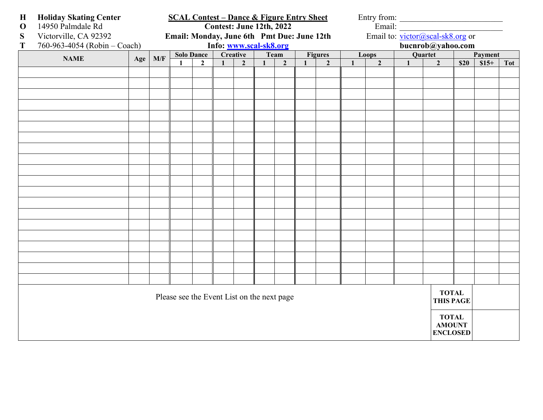| $\mathbf H$                                | <b>Holiday Skating Center</b> | <b>SCAL Contest - Dance &amp; Figure Entry Sheet</b><br>Entry from:            |                        |                   |                |              |                |              |                |                                  |                   |              |                |              |                                                  |                  |         |            |
|--------------------------------------------|-------------------------------|--------------------------------------------------------------------------------|------------------------|-------------------|----------------|--------------|----------------|--------------|----------------|----------------------------------|-------------------|--------------|----------------|--------------|--------------------------------------------------|------------------|---------|------------|
| $\mathbf 0$                                | 14950 Palmdale Rd             | Email:<br>Contest: June 12th, 2022                                             |                        |                   |                |              |                |              |                |                                  |                   |              |                |              |                                                  |                  |         |            |
| S                                          | Victorville, CA 92392         | Email to: victor@scal-sk8.org or<br>Email: Monday, June 6th Pmt Due: June 12th |                        |                   |                |              |                |              |                |                                  |                   |              |                |              |                                                  |                  |         |            |
| T                                          | 760-963-4054 (Robin - Coach)  |                                                                                | Info: www.scal-sk8.org |                   |                |              |                |              |                |                                  | bucnrob@yahoo.com |              |                |              |                                                  |                  |         |            |
|                                            | <b>NAME</b>                   | Age                                                                            | M/F                    | <b>Solo Dance</b> |                | Creative     |                |              | Team           |                                  | <b>Figures</b>    |              | Loops          |              | Quartet                                          |                  | Payment |            |
|                                            |                               |                                                                                |                        | $\mathbf{1}$      | $\overline{2}$ | $\mathbf{1}$ | $\overline{2}$ | $\mathbf{1}$ | $\overline{2}$ | $\mathbf{1}$                     | $\overline{2}$    | $\mathbf{1}$ | $\overline{2}$ | $\mathbf{1}$ | $\overline{2}$                                   | $\overline{$}20$ | $$15+$  | <b>Tot</b> |
|                                            |                               |                                                                                |                        |                   |                |              |                |              |                |                                  |                   |              |                |              |                                                  |                  |         |            |
|                                            |                               |                                                                                |                        |                   |                |              |                |              |                |                                  |                   |              |                |              |                                                  |                  |         |            |
|                                            |                               |                                                                                |                        |                   |                |              |                |              |                |                                  |                   |              |                |              |                                                  |                  |         |            |
|                                            |                               |                                                                                |                        |                   |                |              |                |              |                |                                  |                   |              |                |              |                                                  |                  |         |            |
|                                            |                               |                                                                                |                        |                   |                |              |                |              |                |                                  |                   |              |                |              |                                                  |                  |         |            |
|                                            |                               |                                                                                |                        |                   |                |              |                |              |                |                                  |                   |              |                |              |                                                  |                  |         |            |
|                                            |                               |                                                                                |                        |                   |                |              |                |              |                |                                  |                   |              |                |              |                                                  |                  |         |            |
|                                            |                               |                                                                                |                        |                   |                |              |                |              |                |                                  |                   |              |                |              |                                                  |                  |         |            |
|                                            |                               |                                                                                |                        |                   |                |              |                |              |                |                                  |                   |              |                |              |                                                  |                  |         |            |
|                                            |                               |                                                                                |                        |                   |                |              |                |              |                |                                  |                   |              |                |              |                                                  |                  |         |            |
|                                            |                               |                                                                                |                        |                   |                |              |                |              |                |                                  |                   |              |                |              |                                                  |                  |         |            |
|                                            |                               |                                                                                |                        |                   |                |              |                |              |                |                                  |                   |              |                |              |                                                  |                  |         |            |
|                                            |                               |                                                                                |                        |                   |                |              |                |              |                |                                  |                   |              |                |              |                                                  |                  |         |            |
|                                            |                               |                                                                                |                        |                   |                |              |                |              |                |                                  |                   |              |                |              |                                                  |                  |         |            |
|                                            |                               |                                                                                |                        |                   |                |              |                |              |                |                                  |                   |              |                |              |                                                  |                  |         |            |
|                                            |                               |                                                                                |                        |                   |                |              |                |              |                |                                  |                   |              |                |              |                                                  |                  |         |            |
|                                            |                               |                                                                                |                        |                   |                |              |                |              |                |                                  |                   |              |                |              |                                                  |                  |         |            |
|                                            |                               |                                                                                |                        |                   |                |              |                |              |                |                                  |                   |              |                |              |                                                  |                  |         |            |
|                                            |                               |                                                                                |                        |                   |                |              |                |              |                |                                  |                   |              |                |              |                                                  |                  |         |            |
|                                            |                               |                                                                                |                        |                   |                |              |                |              |                |                                  |                   |              |                |              |                                                  |                  |         |            |
| Please see the Event List on the next page |                               |                                                                                |                        |                   |                |              |                |              |                | <b>TOTAL</b><br><b>THIS PAGE</b> |                   |              |                |              |                                                  |                  |         |            |
|                                            |                               |                                                                                |                        |                   |                |              |                |              |                |                                  |                   |              |                |              | <b>TOTAL</b><br><b>AMOUNT</b><br><b>ENCLOSED</b> |                  |         |            |